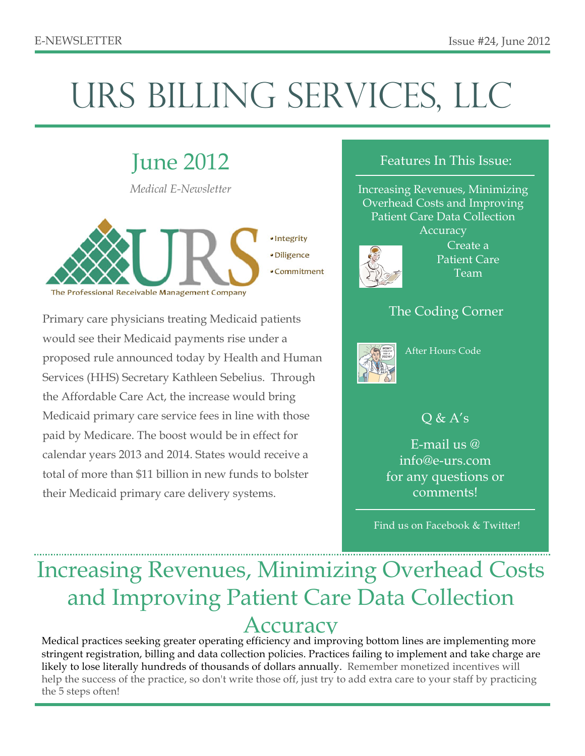# URS BILLING SERVICES, LLC

## June 2012

*Medical E-Newsletter*



• Commitment

Primary care physicians treating Medicaid patients would see their Medicaid payments rise under a proposed rule announced today by Health and Human Services (HHS) Secretary Kathleen Sebelius. Through the Affordable Care Act, the increase would bring Medicaid primary care service fees in line with those paid by Medicare. The boost would be in effect for calendar years 2013 and 2014. States would receive a total of more than \$11 billion in new funds to bolster their Medicaid primary care delivery systems.

#### Features In This Issue:

Increasing Revenues, Minimizing Overhead Costs and Improving Patient Care Data Collection Accuracy



Create a Patient Care Team

### The Coding Corner



After Hours Code

### $Q & A's$

E-mail us @ info@e-urs.com for any questions or comments!

Find us on Facebook & Twitter!

## Increasing Revenues, Minimizing Overhead Costs and Improving Patient Care Data Collection Accuracy

Medical practices seeking greater operating efficiency and improving bottom lines are implementing more stringent registration, billing and data collection policies. Practices failing to implement and take charge are likely to lose literally hundreds of thousands of dollars annually. Remember monetized incentives will help the success of the practice, so don't write those off, just try to add extra care to your staff by practicing the 5 steps often!